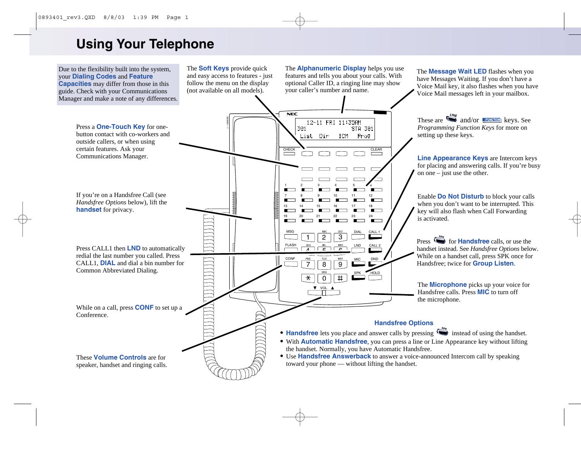# **Using Your Telephone**

Due to the flexibility built into the system, your **Dialing Codes** and **Feature Capacities** may differ from those in this guide. Check with your Communications Manager and make a note of any differences.

The **Soft Keys** provide quick and easy access to features - just follow the menu on the display (not available on all models).

The **Alphanumeric Display** helps you use features and tells you about your calls. With optional Caller ID, a ringing line may show your caller's number and name.

The **Message Wait LED** flashes when you have Messages Waiting. If you don't have a Voice Mail key, it also flashes when you have Voice Mail messages left in your mailbox.

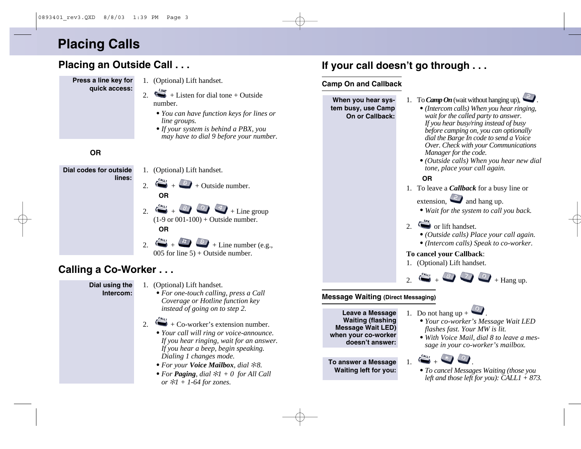# **Placing Calls**

# **Placing an Outside Call . . .**

- **Press a line key for quick access:**
- 1. (Optional) Lift handset.
- 2.  $\sum_{k=1}^{l,l}$  + Listen for dial tone + Outside number.
	- *• You can have function keys for lines or line groups.*
	- *•If your system is behind a PBX, you may have to dial 9 before your number.*

#### **OR**



## **Calling a Co-Worker . . .**

#### **Dial using the Intercom:**

- 1. (Optional) Lift handset.
	- *• For one-touch calling, press a Call Coverage or Hotline function key instead of going on to step 2.*
- 2.  $\leftrightarrow$  + Co-worker's extension number.
	- *• Your call will ring or voice-announce. If you hear ringing, wait for an answer. If you hear a beep, begin speaking. Dialing 1 changes mode.*
	- *• For your Voice Mailbox, dial*  ✻*8.*
	- *• For Paging, dial*  ✻*1 + 0 for All Call or*  ✻*1 + 1-64 for zones.*

# **If your call doesn't go through . . .**

#### **Camp On and Callback**



#### **Message Waiting (Direct Messaging)**

**Leave a Message Waiting (flashing Message Wait LED) when your co-worker doesn't answer:**

**To answer a Message Waiting left for you:**

- 1. Do not hang up  $+$ 
	- *• Your co-worker's Message Wait LED flashes fast. Your MW is lit.*
	- *• With Voice Mail, dial 8 to leave a message in your co-worker's mailbox.*



*• To cancel Messages Waiting (those you left and those left for you): CALL1 + 873.*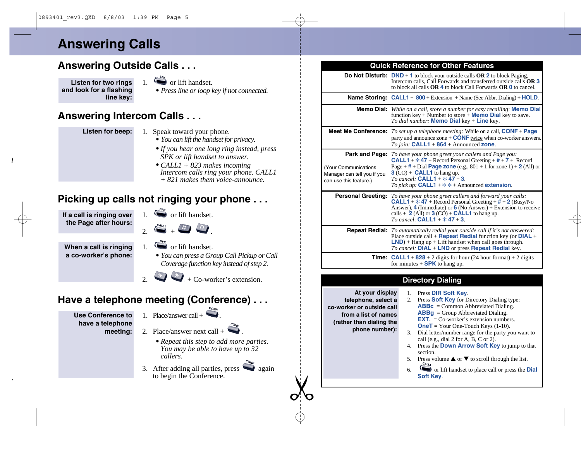# **Answering Calls**

# **Answering Outside Calls . . .**

**Listen for two rings and look for a flashing line key:**

- $\sum_{n=1}^{\text{sp}_K}$  or lift handset.
- *• Press line or loop key if not connected.*

## **Answering Intercom Calls . . .**

- **Listen for beep:**
- 1. Speak toward your phone.
	- *• You can lift the handset for privacy.*
	- *•If you hear one long ring instead, press SPK or lift handset to answer.*
	- *• CALL1 + 823 makes incoming Intercom calls ring your phone. CALL1 + 821 makes them voice-announce.*

# **Picking up calls not ringing your phone . . .**

**If a call is ringing over the Page after hours:**

- 1.  $\sum_{k=1}^{s_{\text{F}}(k)}$  or lift handset.
- $2.44$

**When a call is ringing a co-worker's phone:**

- 1.  $\sum_{k=1}^{s_{\mathfrak{p}_k}}$  or lift handset.
	- *• You can press a Group Call Pickup or Call Coverage function key instead of step 2.*
		- $2. +$  Co-worker's extension.

# **Have a telephone meeting (Conference) . . .**

- **Use Conference to have a telephone meeting:**
- 1. Place/answer call  $+$
- 2. Place/answer next call +
	- *• Repeat this step to add more parties. You may be able to have up to 32 callers.*
- 3. After adding all parties, press  $\Box$  again to begin the Conference.

| <b>Quick Reference for Other Features</b> |                                                                                                                                                                                                                          |  |
|-------------------------------------------|--------------------------------------------------------------------------------------------------------------------------------------------------------------------------------------------------------------------------|--|
|                                           | <b>Do Not Disturb:</b> DND $+$ 1 to block your outside calls OR 2 to block Paging,<br>Intercom calls, Call Forwards and transferred outside calls OR 3<br>to block all calls OR 4 to block Call Forwards OR 0 to cancel. |  |
|                                           | <b>Name Storing: CALL1</b> + $800 + \text{Extension } + \text{Name}$ (See Abbr. Dialing) + <b>HOLD</b> .                                                                                                                 |  |
|                                           | <b>Memo Dial:</b> While on a call, store a number for easy recalling: <b>Memo Dial</b>                                                                                                                                   |  |

|                                                                                     | function key + Number to store + <b>Memo Dial</b> key to save.<br>To dial number: <b>Memo Dial</b> key + <b>Line</b> key.                                                                                                                                                                                                                                                        |
|-------------------------------------------------------------------------------------|----------------------------------------------------------------------------------------------------------------------------------------------------------------------------------------------------------------------------------------------------------------------------------------------------------------------------------------------------------------------------------|
|                                                                                     | <b>Meet Me Conference:</b> To set up a telephone meeting: While on a call, $CONF + Page$<br>party and announce zone $+$ <b>CONF</b> twice when co-worker answers.<br>To join: $CALL1 + 864 + Announced zone$ .                                                                                                                                                                   |
| <b>Your Communications</b><br>Manager can tell you if you<br>can use this feature.) | <b>Park and Page:</b> To have your phone greet your callers and Page you:<br><b>CALL1</b> + $\dot{x}$ 47 + Record Personal Greeting + $\ddot{t}$ + 7 + Record<br>Page + $#$ + Dial Page zone (e.g., 801 + 1 for zone 1) + 2 (All) or<br>$3$ (CO) + <b>CALL1</b> to hang up.<br>To cancel: <b>CALL1</b> + $\ddagger$ 47 + 3<br>To pick up: CALL1 + $*$ $*$ + Announced extension. |
|                                                                                     | <b>Personal Greeting:</b> To have your phone greet callers and forward your calls:<br><b>CALL1</b> + $\angle$ 47 + Record Personal Greeting + $\angle$ + + 2 (Busy/No<br>Answer), 4 (Immediate) or $6$ (No Answer) + Extension to receive<br>calls + $2$ (All) or $3$ (CO) + <b>CALL1</b> to hang up.<br>To cancel: $CALL1 + 47 + 3$                                             |
|                                                                                     | <b>Repeat Redial:</b> To automatically redial your outside call if it's not answered:<br>Place outside call $+$ <b>Repeat Redial</b> function key (or <b>DIAL</b> $+$<br>$LND$ ) + Hang up + Lift handset when call goes through.<br><i>To cancel:</i> DIAL + LND or press <b>Repeat Redial</b> key.                                                                             |

**CALL1** <sup>+</sup>**828** + 2 digits for hour (24 hour format) + 2 digits **Time:** for minutes + **SPK** to hang up.

#### **Directory Dialing**

**At your display telephone, select a co-worker or outside call from a list of names (rather than dialing the phone number):**

- 1. Press **DIR Soft Key**.
- 2. Press **Soft Key** for Directory Dialing type: **ABBc** = Common Abbreviated Dialing. **ABBg** = Group Abbreviated Dialing. **EXT.** = Co-worker's extension numbers. **OneT** = Your One-Touch Keys (1-10).
- 3. Dial letter/number range for the party you want to call (e.g., dial 2 for A, B, C or 2).
- 4. Press the **Down Arrow Soft Key** to jump to that section.
- 5. Press volume  $\triangle$  or  $\nabla$  to scroll through the list.
- 6. or lift handset to place call or press the **Dial Soft Key**.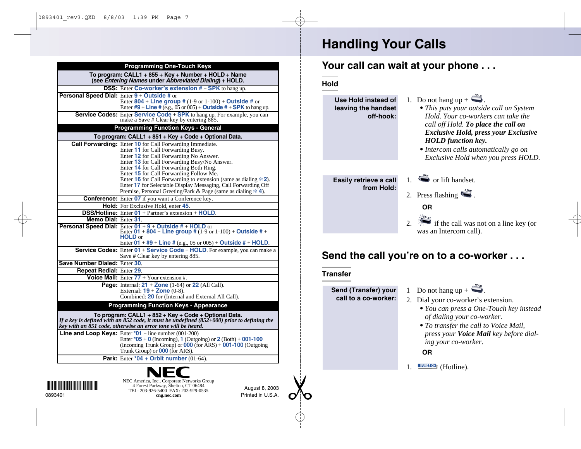|                                                                                                                      | <b>Programming One-Touch Keys</b>                                                                                                                                                                                   |
|----------------------------------------------------------------------------------------------------------------------|---------------------------------------------------------------------------------------------------------------------------------------------------------------------------------------------------------------------|
|                                                                                                                      | To program: CALL1 + 855 + Key + Number + HOLD + Name<br>(see Entering Names under Abbreviated Dialing) + HOLD.                                                                                                      |
|                                                                                                                      | <b>DSS:</b> Enter Co-worker's extension $# + SPK$ to hang up.                                                                                                                                                       |
|                                                                                                                      | Personal Speed Dial: Enter 9 + Outside # or                                                                                                                                                                         |
|                                                                                                                      | Enter 804 + Line group # $(1-9 \text{ or } 1-100) +$ Outside # or                                                                                                                                                   |
|                                                                                                                      | Enter $#9 +$ Line # (e.g., 05 or 005) + Outside # + SPK to hang up.                                                                                                                                                 |
|                                                                                                                      | Service Codes: Enter Service Code + SPK to hang up. For example, you can<br>make a Save # Clear key by entering 885.                                                                                                |
|                                                                                                                      | <b>Programming Function Keys - General</b>                                                                                                                                                                          |
|                                                                                                                      | To program: CALL1 + 851 + Key + Code + Optional Data.                                                                                                                                                               |
|                                                                                                                      | <b>Call Forwarding:</b> Enter 10 for Call Forwarding Immediate.                                                                                                                                                     |
|                                                                                                                      | Enter 11 for Call Forwarding Busy.                                                                                                                                                                                  |
|                                                                                                                      | Enter 12 for Call Forwarding No Answer.                                                                                                                                                                             |
|                                                                                                                      | Enter 13 for Call Forwarding Busy/No Answer.                                                                                                                                                                        |
|                                                                                                                      | Enter 14 for Call Forwarding Both Ring.                                                                                                                                                                             |
|                                                                                                                      | Enter 15 for Call Forwarding Follow Me.<br>Enter 16 for Call Forwarding to extension (same as dialing $\angle 2$ ).                                                                                                 |
|                                                                                                                      | Enter 17 for Selectable Display Messaging, Call Forwarding Off                                                                                                                                                      |
|                                                                                                                      | Premise, Personal Greeting/Park & Page (same as dialing $*$ 4).                                                                                                                                                     |
|                                                                                                                      | <b>Conference:</b> Enter <b>07</b> if you want a Conference key.                                                                                                                                                    |
|                                                                                                                      | Hold: For Exclusive Hold, enter 45.                                                                                                                                                                                 |
|                                                                                                                      | <b>DSS/Hotline:</b> Enter $01 +$ Partner's extension + <b>HOLD</b> .                                                                                                                                                |
| Memo Dial: Enter 31                                                                                                  |                                                                                                                                                                                                                     |
|                                                                                                                      | Personal Speed Dial: Enter 01 + 9 + Outside # + HOLD or                                                                                                                                                             |
|                                                                                                                      | Enter 01 + 804 + Line group # $(1-9 \text{ or } 1-100) +$ Outside # +<br><b>HOLD</b> or                                                                                                                             |
|                                                                                                                      | Enter $01 + #9 + Line # (e.g., 05 or 005) + Outside # + HOLD.$                                                                                                                                                      |
|                                                                                                                      | <b>Service Codes:</b> Enter 01 + Service Code + HOLD. For example, you can make a                                                                                                                                   |
|                                                                                                                      | Save # Clear key by entering 885.                                                                                                                                                                                   |
| Save Number Dialed: Enter 30.                                                                                        |                                                                                                                                                                                                                     |
| <b>Repeat Redial: Enter 29.</b>                                                                                      |                                                                                                                                                                                                                     |
|                                                                                                                      | Voice Mail: Enter $77 +$ Your extension #.                                                                                                                                                                          |
|                                                                                                                      | Page: Internal: $21 + \text{Zone}$ (1-64) or $22$ (All Call).                                                                                                                                                       |
|                                                                                                                      | External: $19 + \text{Zone } (0-8)$ .                                                                                                                                                                               |
|                                                                                                                      | Combined: 20 for (Internal and External All Call).                                                                                                                                                                  |
|                                                                                                                      | <b>Programming Function Keys - Appearance</b>                                                                                                                                                                       |
|                                                                                                                      | To program: CALL1 + 852 + Key + Code + Optional Data.<br>If a key is defined with an 852 code, it must be undefined (852+000) prior to defining the<br>key with an 851 code, otherwise an error tone will be heard. |
|                                                                                                                      | <b>Line and Loop Keys:</b> Enter $*01$ + line number (001-200)                                                                                                                                                      |
|                                                                                                                      | Enter $*05 + 0$ (Incoming), 1 (Outgoing) or 2 (Both) + 001-100                                                                                                                                                      |
|                                                                                                                      | (Incoming Trunk Group) or $000$ (for $\overline{ARS}$ ) + $001-100$ (Outgoing                                                                                                                                       |
|                                                                                                                      | Trunk Group) or <b>000</b> (for ARS).                                                                                                                                                                               |
|                                                                                                                      | <b>Park:</b> Enter $*04 +$ Orbit number (01-64).                                                                                                                                                                    |
|                                                                                                                      |                                                                                                                                                                                                                     |
|                                                                                                                      | NEC America, Inc., Corporate Networks Group                                                                                                                                                                         |
| <u> Harris Harris Harris Harris Harris Harris Harris Harris Harris Harris Harris Harris Harris Harris Harris Har</u> | 4 Forest Parkway, Shelton, CT 06484<br>August 8, 2003<br>TEL: 203-926-5400 FAX: 203-929-0535                                                                                                                        |
| 0893401                                                                                                              | Printed in U.S.A.<br>cng.nec.com                                                                                                                                                                                    |

# **Handling Your Calls**

## **Your call can wait at your phone . . .**

**Hold**

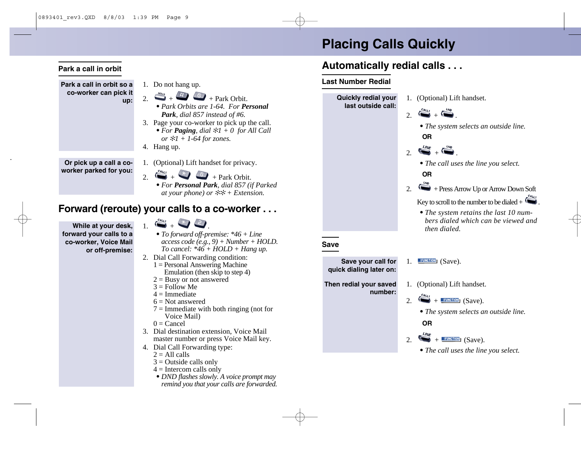# **Placing Calls Quickly**

## **Automatically redial calls . . .**

#### **Last Number Redial**

**Quickly redial your** 1. (Optional) Lift handset. **last outside call:**  $2\int_{0}^{C_{\text{ALL1}}}$ *• The system selects an outside line.* **OR** LINE  $\sim$  .  $\sim$ *• The call uses the line you select.* **OR** 2.  $\leftrightarrow$  + Press Arrow Up or Arrow Down Soft Key to scroll to the number to be dialed +  $\bullet$ . *• The system retains the last 10 numbers dialed which can be viewed and then dialed.* **Save Save your call for** 1.  $\sqrt{\text{FURCTION}}$  (Save). **quick dialing later on:** 1. (Optional) Lift handset. **Then redial your saved number:**  $2. \quad \bullet$  + **HEUNGHON** (Save). *• The system selects an outside line.* **OR** 2.  $\leftarrow +$  FUNCTION<sub>I</sub> (Save). *• The call uses the line you select.*

#### **Park a call in orbit**

- **Park a call in orbit so a co-worker can pick it up:**
- 1. Do not hang up.
- 2.  $+$   $+$   $+$   $+$   $+$   $+$  Park Orbit.
	- *• Park Orbits are 1-64. For Personal Park, dial 857 instead of #6.*
- 3. Page your co-worker to pick up the call. *• For Paging, dial* ✻*1 + 0 for All Call or* ✻*1 + 1-64 for zones.*
- 4. Hang up.

**Or pick up a call a co-**

- 1. (Optional) Lift handset for privacy.
- $2.$   $\rightarrow$   $+$   $\rightarrow$   $+$  Park Orbit.

*• For Personal Park, dial 857 (if Parked at your phone) or* ✻✻ *+ Extension.*

### **Forward (reroute) your calls to a co-worker . . .**

**While at your desk, forward your calls to a co-worker, Voice Mail or off-premise:**

- $\sum_{i=1}^{n}$
- *• To forward off-premise: \*46 + Line access code (e.g., 9) + Number + HOLD. To cancel: \*46 + HOLD + Hang up.*
- 2. Dial Call Forwarding condition:
	- 1 = Personal Answering Machine Emulation (then skip to step 4)
	- $2 =$ Busy or not answered
	- $3 =$ Follow Me
	- $4 =$ Immediate
	- $6 = Not$  answered
	- $7 =$  Immediate with both ringing (not for Voice Mail)
	- $0 =$ Cancel
- 3. Dial destination extension, Voice Mail master number or press Voice Mail key.
- 4. Dial Call Forwarding type:
	- $2 =$  All calls
	- $3$  = Outside calls only
	- $4 =$ Intercom calls only
	- *• DND flashes slowly. A voice prompt may remind you that your calls are forwarded.*

**worker parked for you:**

- -